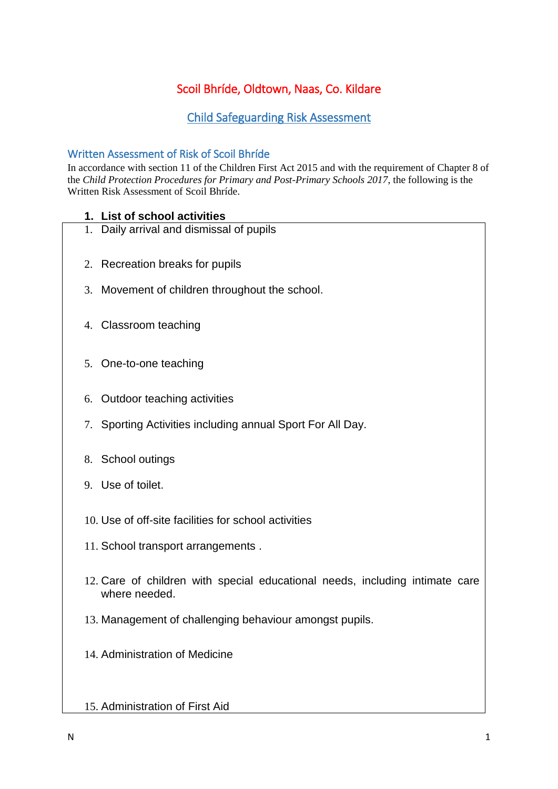### Scoil Bhríde, Oldtown, Naas, Co. Kildare

#### Child Safeguarding Risk Assessment

#### Written Assessment of Risk of Scoil Bhríde

In accordance with section 11 of the Children First Act 2015 and with the requirement of Chapter 8 of the *Child Protection Procedures for Primary and Post-Primary Schools 2017*, the following is the Written Risk Assessment of Scoil Bhríde.

#### **1. List of school activities**

- 1. Daily arrival and dismissal of pupils
- 2. Recreation breaks for pupils
- 3. Movement of children throughout the school.
- 4. Classroom teaching
- 5. One-to-one teaching
- 6. Outdoor teaching activities
- 7. Sporting Activities including annual Sport For All Day.
- 8. School outings
- 9. Use of toilet.
- 10. Use of off-site facilities for school activities
- 11. School transport arrangements .
- 12. Care of children with special educational needs, including intimate care where needed.
- 13. Management of challenging behaviour amongst pupils.
- 14. Administration of Medicine

#### 15. Administration of First Aid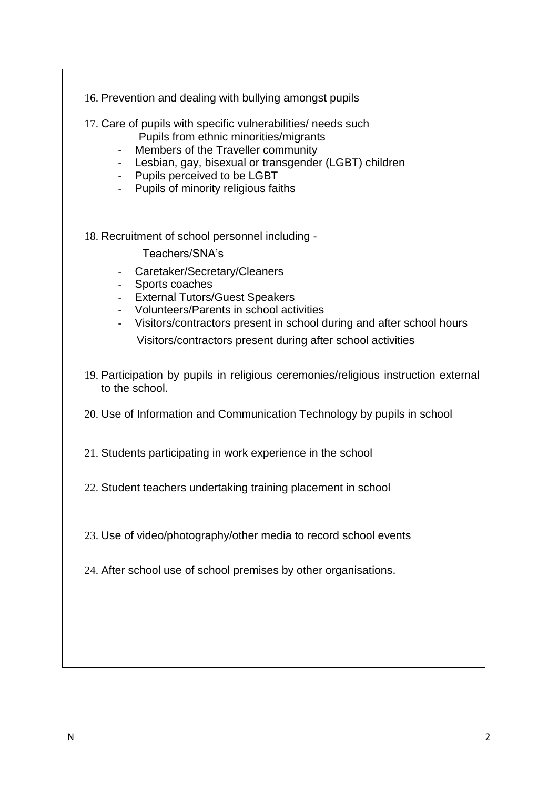- 16. Prevention and dealing with bullying amongst pupils
- 17. Care of pupils with specific vulnerabilities/ needs such
	- Pupils from ethnic minorities/migrants
	- Members of the Traveller community
	- Lesbian, gay, bisexual or transgender (LGBT) children
	- Pupils perceived to be LGBT
	- Pupils of minority religious faiths

18. Recruitment of school personnel including -

Teachers/SNA's

- Caretaker/Secretary/Cleaners
- Sports coaches
- External Tutors/Guest Speakers
- Volunteers/Parents in school activities
- Visitors/contractors present in school during and after school hours
	- Visitors/contractors present during after school activities
- 19. Participation by pupils in religious ceremonies/religious instruction external to the school.
- 20. Use of Information and Communication Technology by pupils in school
- 21. Students participating in work experience in the school
- 22. Student teachers undertaking training placement in school
- 23. Use of video/photography/other media to record school events
- 24. After school use of school premises by other organisations.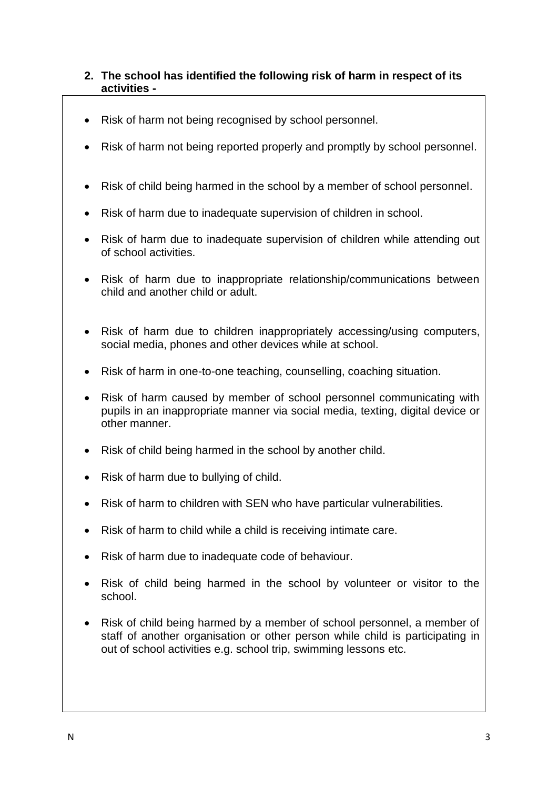#### **2. The school has identified the following risk of harm in respect of its activities -**

- Risk of harm not being recognised by school personnel.
- Risk of harm not being reported properly and promptly by school personnel.
- Risk of child being harmed in the school by a member of school personnel.
- Risk of harm due to inadequate supervision of children in school.
- Risk of harm due to inadequate supervision of children while attending out of school activities.
- Risk of harm due to inappropriate relationship/communications between child and another child or adult.
- Risk of harm due to children inappropriately accessing/using computers, social media, phones and other devices while at school.
- Risk of harm in one-to-one teaching, counselling, coaching situation.
- Risk of harm caused by member of school personnel communicating with pupils in an inappropriate manner via social media, texting, digital device or other manner.
- Risk of child being harmed in the school by another child.
- Risk of harm due to bullying of child.
- Risk of harm to children with SEN who have particular vulnerabilities.
- Risk of harm to child while a child is receiving intimate care.
- Risk of harm due to inadequate code of behaviour.
- Risk of child being harmed in the school by volunteer or visitor to the school.
- Risk of child being harmed by a member of school personnel, a member of staff of another organisation or other person while child is participating in out of school activities e.g. school trip, swimming lessons etc.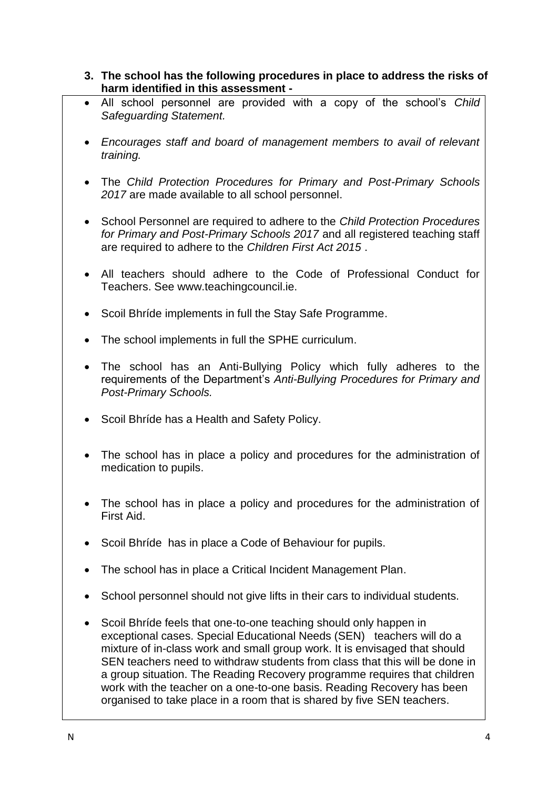#### **3. The school has the following procedures in place to address the risks of harm identified in this assessment -**

- All school personnel are provided with a copy of the school's *Child Safeguarding Statement.*
- *Encourages staff and board of management members to avail of relevant training.*
- The *Child Protection Procedures for Primary and Post-Primary Schools 2017* are made available to all school personnel.
- School Personnel are required to adhere to the *Child Protection Procedures for Primary and Post-Primary Schools 2017* and all registered teaching staff are required to adhere to the *Children First Act 2015* .
- All teachers should adhere to the Code of Professional Conduct for Teachers. See www.teachingcouncil.ie.
- Scoil Bhríde implements in full the Stay Safe Programme.
- The school implements in full the SPHE curriculum.
- The school has an Anti-Bullying Policy which fully adheres to the requirements of the Department's *Anti-Bullying Procedures for Primary and Post-Primary Schools.*
- Scoil Bhríde has a Health and Safety Policy.
- The school has in place a policy and procedures for the administration of medication to pupils.
- The school has in place a policy and procedures for the administration of First Aid.
- Scoil Bhríde has in place a Code of Behaviour for pupils.
- The school has in place a Critical Incident Management Plan.
- School personnel should not give lifts in their cars to individual students.
- Scoil Bhríde feels that one-to-one teaching should only happen in exceptional cases. Special Educational Needs (SEN) teachers will do a mixture of in-class work and small group work. It is envisaged that should SEN teachers need to withdraw students from class that this will be done in a group situation. The Reading Recovery programme requires that children work with the teacher on a one-to-one basis. Reading Recovery has been organised to take place in a room that is shared by five SEN teachers.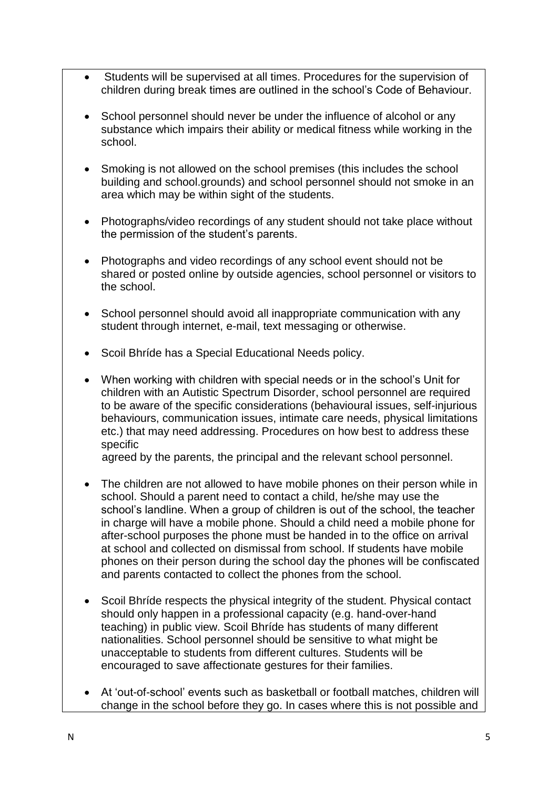- Students will be supervised at all times. Procedures for the supervision of children during break times are outlined in the school's Code of Behaviour.
- School personnel should never be under the influence of alcohol or any substance which impairs their ability or medical fitness while working in the school.
- Smoking is not allowed on the school premises (this includes the school building and school.grounds) and school personnel should not smoke in an area which may be within sight of the students.
- Photographs/video recordings of any student should not take place without the permission of the student's parents.
- Photographs and video recordings of any school event should not be shared or posted online by outside agencies, school personnel or visitors to the school.
- School personnel should avoid all inappropriate communication with any student through internet, e-mail, text messaging or otherwise.
- Scoil Bhríde has a Special Educational Needs policy.
- When working with children with special needs or in the school's Unit for children with an Autistic Spectrum Disorder, school personnel are required to be aware of the specific considerations (behavioural issues, self-injurious behaviours, communication issues, intimate care needs, physical limitations etc.) that may need addressing. Procedures on how best to address these specific

agreed by the parents, the principal and the relevant school personnel.

- The children are not allowed to have mobile phones on their person while in school. Should a parent need to contact a child, he/she may use the school's landline. When a group of children is out of the school, the teacher in charge will have a mobile phone. Should a child need a mobile phone for after-school purposes the phone must be handed in to the office on arrival at school and collected on dismissal from school. If students have mobile phones on their person during the school day the phones will be confiscated and parents contacted to collect the phones from the school.
- Scoil Bhríde respects the physical integrity of the student. Physical contact should only happen in a professional capacity (e.g. hand-over-hand teaching) in public view. Scoil Bhríde has students of many different nationalities. School personnel should be sensitive to what might be unacceptable to students from different cultures. Students will be encouraged to save affectionate gestures for their families.
- At 'out-of-school' events such as basketball or football matches, children will change in the school before they go. In cases where this is not possible and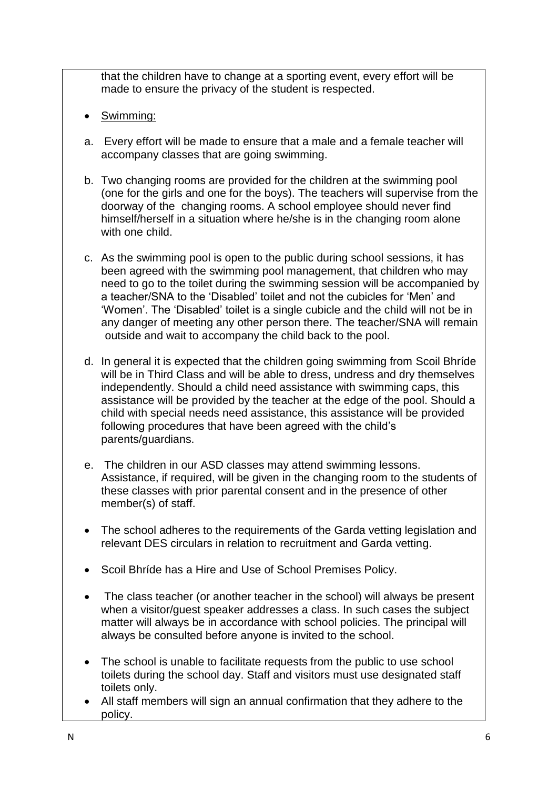that the children have to change at a sporting event, every effort will be made to ensure the privacy of the student is respected.

- Swimming:
- a. Every effort will be made to ensure that a male and a female teacher will accompany classes that are going swimming.
- b. Two changing rooms are provided for the children at the swimming pool (one for the girls and one for the boys). The teachers will supervise from the doorway of the changing rooms. A school employee should never find himself/herself in a situation where he/she is in the changing room alone with one child.
- c. As the swimming pool is open to the public during school sessions, it has been agreed with the swimming pool management, that children who may need to go to the toilet during the swimming session will be accompanied by a teacher/SNA to the 'Disabled' toilet and not the cubicles for 'Men' and 'Women'. The 'Disabled' toilet is a single cubicle and the child will not be in any danger of meeting any other person there. The teacher/SNA will remain outside and wait to accompany the child back to the pool.
- d. In general it is expected that the children going swimming from Scoil Bhríde will be in Third Class and will be able to dress, undress and dry themselves independently. Should a child need assistance with swimming caps, this assistance will be provided by the teacher at the edge of the pool. Should a child with special needs need assistance, this assistance will be provided following procedures that have been agreed with the child's parents/guardians.
- e. The children in our ASD classes may attend swimming lessons. Assistance, if required, will be given in the changing room to the students of these classes with prior parental consent and in the presence of other member(s) of staff.
- The school adheres to the requirements of the Garda vetting legislation and relevant DES circulars in relation to recruitment and Garda vetting.
- Scoil Bhríde has a Hire and Use of School Premises Policy.
- The class teacher (or another teacher in the school) will always be present when a visitor/guest speaker addresses a class. In such cases the subject matter will always be in accordance with school policies. The principal will always be consulted before anyone is invited to the school.
- The school is unable to facilitate requests from the public to use school toilets during the school day. Staff and visitors must use designated staff toilets only.
- All staff members will sign an annual confirmation that they adhere to the policy.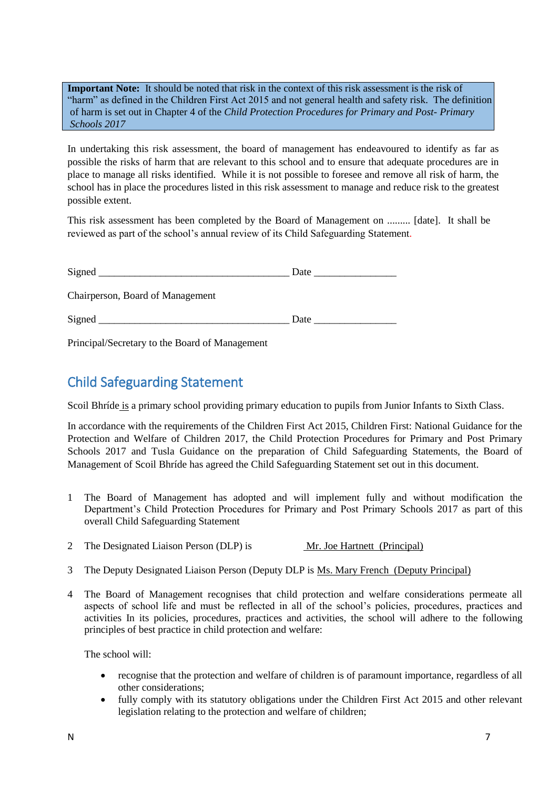**Important Note:** It should be noted that risk in the context of this risk assessment is the risk of "harm" as defined in the Children First Act 2015 and not general health and safety risk. The definition of harm is set out in Chapter 4 of the *Child Protection Procedures for Primary and Post- Primary Schools 2017*

In undertaking this risk assessment, the board of management has endeavoured to identify as far as possible the risks of harm that are relevant to this school and to ensure that adequate procedures are in place to manage all risks identified. While it is not possible to foresee and remove all risk of harm, the school has in place the procedures listed in this risk assessment to manage and reduce risk to the greatest possible extent.

This risk assessment has been completed by the Board of Management on ......... [date]. It shall be reviewed as part of the school's annual review of its Child Safeguarding Statement.

| Signed                           | Date |
|----------------------------------|------|
| Chairperson, Board of Management |      |
| Signed                           | Date |

Principal/Secretary to the Board of Management

## Child Safeguarding Statement

Scoil Bhríde is a primary school providing primary education to pupils from Junior Infants to Sixth Class.

In accordance with the requirements of the Children First Act 2015, Children First: National Guidance for the Protection and Welfare of Children 2017, the Child Protection Procedures for Primary and Post Primary Schools 2017 and Tusla Guidance on the preparation of Child Safeguarding Statements, the Board of Management of Scoil Bhríde has agreed the Child Safeguarding Statement set out in this document.

- 1 The Board of Management has adopted and will implement fully and without modification the Department's Child Protection Procedures for Primary and Post Primary Schools 2017 as part of this overall Child Safeguarding Statement
- 2 The Designated Liaison Person (DLP) is Mr. Joe Hartnett (Principal)
- 3 The Deputy Designated Liaison Person (Deputy DLP is Ms. Mary French (Deputy Principal)
- 4 The Board of Management recognises that child protection and welfare considerations permeate all aspects of school life and must be reflected in all of the school's policies, procedures, practices and activities In its policies, procedures, practices and activities, the school will adhere to the following principles of best practice in child protection and welfare:

The school will:

- recognise that the protection and welfare of children is of paramount importance, regardless of all other considerations;
- fully comply with its statutory obligations under the Children First Act 2015 and other relevant legislation relating to the protection and welfare of children;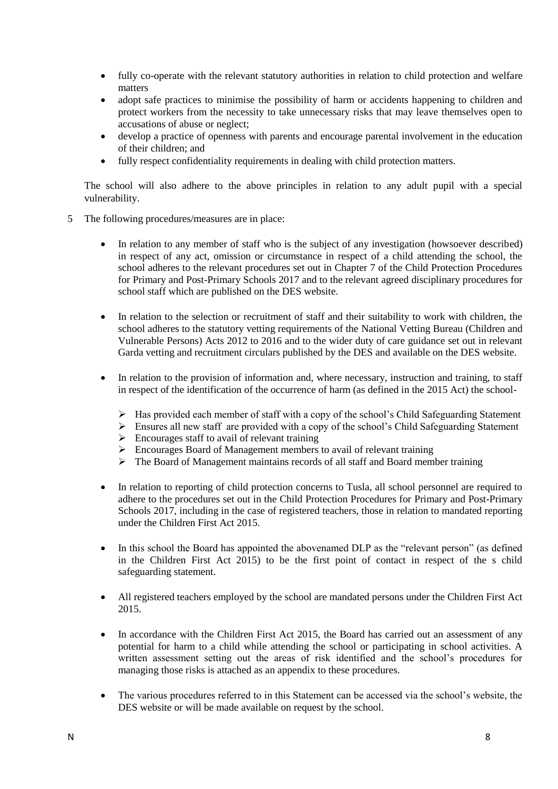- fully co-operate with the relevant statutory authorities in relation to child protection and welfare matters
- adopt safe practices to minimise the possibility of harm or accidents happening to children and protect workers from the necessity to take unnecessary risks that may leave themselves open to accusations of abuse or neglect;
- develop a practice of openness with parents and encourage parental involvement in the education of their children; and
- fully respect confidentiality requirements in dealing with child protection matters.

The school will also adhere to the above principles in relation to any adult pupil with a special vulnerability.

- 5 The following procedures/measures are in place:
	- In relation to any member of staff who is the subject of any investigation (howsoever described) in respect of any act, omission or circumstance in respect of a child attending the school, the school adheres to the relevant procedures set out in Chapter 7 of the Child Protection Procedures for Primary and Post-Primary Schools 2017 and to the relevant agreed disciplinary procedures for school staff which are published on the DES website.
	- In relation to the selection or recruitment of staff and their suitability to work with children, the school adheres to the statutory vetting requirements of the National Vetting Bureau (Children and Vulnerable Persons) Acts 2012 to 2016 and to the wider duty of care guidance set out in relevant Garda vetting and recruitment circulars published by the DES and available on the DES website.
	- In relation to the provision of information and, where necessary, instruction and training, to staff in respect of the identification of the occurrence of harm (as defined in the 2015 Act) the school-
		- Has provided each member of staff with a copy of the school's Child Safeguarding Statement
		- $\triangleright$  Ensures all new staff are provided with a copy of the school's Child Safeguarding Statement
		- $\triangleright$  Encourages staff to avail of relevant training
		- $\triangleright$  Encourages Board of Management members to avail of relevant training
		- The Board of Management maintains records of all staff and Board member training
	- In relation to reporting of child protection concerns to Tusla, all school personnel are required to adhere to the procedures set out in the Child Protection Procedures for Primary and Post-Primary Schools 2017, including in the case of registered teachers, those in relation to mandated reporting under the Children First Act 2015.
	- In this school the Board has appointed the abovenamed DLP as the "relevant person" (as defined in the Children First Act 2015) to be the first point of contact in respect of the s child safeguarding statement.
	- All registered teachers employed by the school are mandated persons under the Children First Act 2015.
	- In accordance with the Children First Act 2015, the Board has carried out an assessment of any potential for harm to a child while attending the school or participating in school activities. A written assessment setting out the areas of risk identified and the school's procedures for managing those risks is attached as an appendix to these procedures.
	- The various procedures referred to in this Statement can be accessed via the school's website, the DES website or will be made available on request by the school.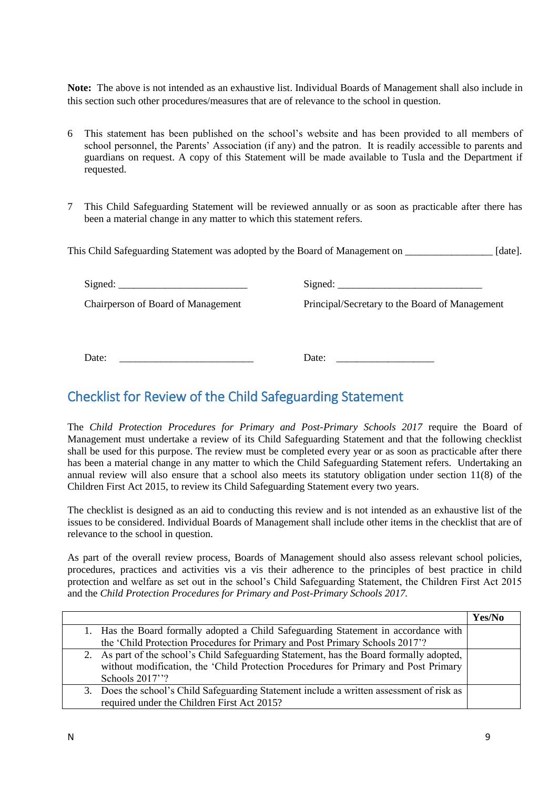**Note:** The above is not intended as an exhaustive list. Individual Boards of Management shall also include in this section such other procedures/measures that are of relevance to the school in question.

- 6 This statement has been published on the school's website and has been provided to all members of school personnel, the Parents' Association (if any) and the patron. It is readily accessible to parents and guardians on request. A copy of this Statement will be made available to Tusla and the Department if requested.
- 7 This Child Safeguarding Statement will be reviewed annually or as soon as practicable after there has been a material change in any matter to which this statement refers.

This Child Safeguarding Statement was adopted by the Board of Management on \_\_\_\_\_\_\_\_\_\_\_\_\_\_\_\_\_ [date].

| Signed: $\_\_$                     | Signed: $\_\_$                                 |
|------------------------------------|------------------------------------------------|
| Chairperson of Board of Management | Principal/Secretary to the Board of Management |
|                                    |                                                |

Date: \_\_\_\_\_\_\_\_\_\_\_\_\_\_\_\_\_\_\_\_\_\_\_\_\_\_ Date: \_\_\_\_\_\_\_\_\_\_\_\_\_\_\_\_\_\_\_

## Checklist for Review of the Child Safeguarding Statement

The *Child Protection Procedures for Primary and Post-Primary Schools 2017* require the Board of Management must undertake a review of its Child Safeguarding Statement and that the following checklist shall be used for this purpose. The review must be completed every year or as soon as practicable after there has been a material change in any matter to which the Child Safeguarding Statement refers. Undertaking an annual review will also ensure that a school also meets its statutory obligation under section 11(8) of the Children First Act 2015, to review its Child Safeguarding Statement every two years.

The checklist is designed as an aid to conducting this review and is not intended as an exhaustive list of the issues to be considered. Individual Boards of Management shall include other items in the checklist that are of relevance to the school in question.

As part of the overall review process, Boards of Management should also assess relevant school policies, procedures, practices and activities vis a vis their adherence to the principles of best practice in child protection and welfare as set out in the school's Child Safeguarding Statement, the Children First Act 2015 and the *Child Protection Procedures for Primary and Post-Primary Schools 2017.*

|    |                                                                                          | Yes/No |
|----|------------------------------------------------------------------------------------------|--------|
|    | 1. Has the Board formally adopted a Child Safeguarding Statement in accordance with      |        |
|    | the 'Child Protection Procedures for Primary and Post Primary Schools 2017'?             |        |
|    | 2. As part of the school's Child Safeguarding Statement, has the Board formally adopted, |        |
|    | without modification, the 'Child Protection Procedures for Primary and Post Primary      |        |
|    | Schools 2017"?                                                                           |        |
| 3. | Does the school's Child Safeguarding Statement include a written assessment of risk as   |        |
|    | required under the Children First Act 2015?                                              |        |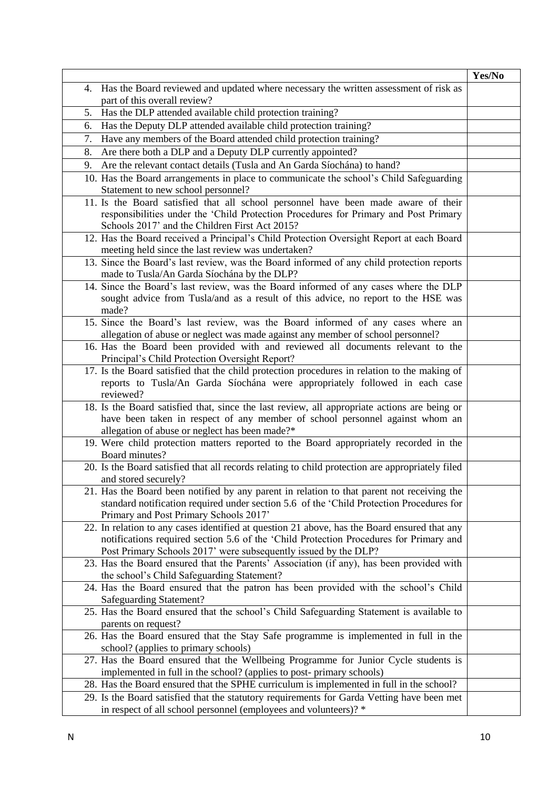|                                                                                                  | Yes/No |
|--------------------------------------------------------------------------------------------------|--------|
| Has the Board reviewed and updated where necessary the written assessment of risk as<br>4.       |        |
| part of this overall review?                                                                     |        |
| Has the DLP attended available child protection training?<br>5.                                  |        |
| Has the Deputy DLP attended available child protection training?<br>6.                           |        |
| Have any members of the Board attended child protection training?<br>7.                          |        |
| Are there both a DLP and a Deputy DLP currently appointed?<br>8.                                 |        |
| Are the relevant contact details (Tusla and An Garda Síochána) to hand?<br>9.                    |        |
| 10. Has the Board arrangements in place to communicate the school's Child Safeguarding           |        |
| Statement to new school personnel?                                                               |        |
| 11. Is the Board satisfied that all school personnel have been made aware of their               |        |
| responsibilities under the 'Child Protection Procedures for Primary and Post Primary             |        |
| Schools 2017' and the Children First Act 2015?                                                   |        |
| 12. Has the Board received a Principal's Child Protection Oversight Report at each Board         |        |
| meeting held since the last review was undertaken?                                               |        |
| 13. Since the Board's last review, was the Board informed of any child protection reports        |        |
| made to Tusla/An Garda Síochána by the DLP?                                                      |        |
| 14. Since the Board's last review, was the Board informed of any cases where the DLP             |        |
| sought advice from Tusla/and as a result of this advice, no report to the HSE was                |        |
| made?                                                                                            |        |
| 15. Since the Board's last review, was the Board informed of any cases where an                  |        |
| allegation of abuse or neglect was made against any member of school personnel?                  |        |
| 16. Has the Board been provided with and reviewed all documents relevant to the                  |        |
| Principal's Child Protection Oversight Report?                                                   |        |
| 17. Is the Board satisfied that the child protection procedures in relation to the making of     |        |
| reports to Tusla/An Garda Síochána were appropriately followed in each case                      |        |
| reviewed?                                                                                        |        |
| 18. Is the Board satisfied that, since the last review, all appropriate actions are being or     |        |
| have been taken in respect of any member of school personnel against whom an                     |        |
| allegation of abuse or neglect has been made?*                                                   |        |
| 19. Were child protection matters reported to the Board appropriately recorded in the            |        |
| Board minutes?                                                                                   |        |
| 20. Is the Board satisfied that all records relating to child protection are appropriately filed |        |
| and stored securely?                                                                             |        |
| 21. Has the Board been notified by any parent in relation to that parent not receiving the       |        |
| standard notification required under section 5.6 of the 'Child Protection Procedures for         |        |
| Primary and Post Primary Schools 2017'                                                           |        |
| 22. In relation to any cases identified at question 21 above, has the Board ensured that any     |        |
| notifications required section 5.6 of the 'Child Protection Procedures for Primary and           |        |
| Post Primary Schools 2017' were subsequently issued by the DLP?                                  |        |
| 23. Has the Board ensured that the Parents' Association (if any), has been provided with         |        |
| the school's Child Safeguarding Statement?                                                       |        |
| 24. Has the Board ensured that the patron has been provided with the school's Child              |        |
| <b>Safeguarding Statement?</b>                                                                   |        |
| 25. Has the Board ensured that the school's Child Safeguarding Statement is available to         |        |
| parents on request?                                                                              |        |
| 26. Has the Board ensured that the Stay Safe programme is implemented in full in the             |        |
| school? (applies to primary schools)                                                             |        |
| 27. Has the Board ensured that the Wellbeing Programme for Junior Cycle students is              |        |
| implemented in full in the school? (applies to post-primary schools)                             |        |
| 28. Has the Board ensured that the SPHE curriculum is implemented in full in the school?         |        |
| 29. Is the Board satisfied that the statutory requirements for Garda Vetting have been met       |        |
| in respect of all school personnel (employees and volunteers)? *                                 |        |
|                                                                                                  |        |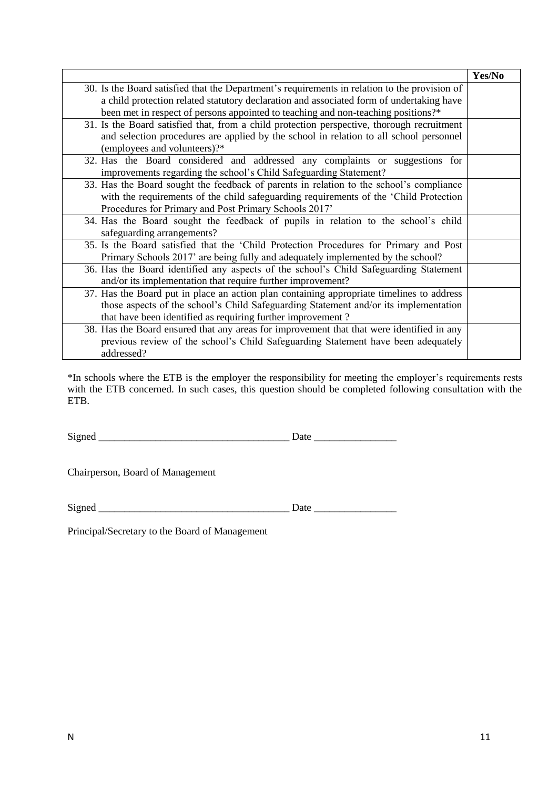|                                                                                               | Yes/No |
|-----------------------------------------------------------------------------------------------|--------|
| 30. Is the Board satisfied that the Department's requirements in relation to the provision of |        |
| a child protection related statutory declaration and associated form of undertaking have      |        |
| been met in respect of persons appointed to teaching and non-teaching positions?*             |        |
| 31. Is the Board satisfied that, from a child protection perspective, thorough recruitment    |        |
| and selection procedures are applied by the school in relation to all school personnel        |        |
| (employees and volunteers)?*                                                                  |        |
| 32. Has the Board considered and addressed any complaints or suggestions for                  |        |
| improvements regarding the school's Child Safeguarding Statement?                             |        |
| 33. Has the Board sought the feedback of parents in relation to the school's compliance       |        |
| with the requirements of the child safeguarding requirements of the 'Child Protection         |        |
| Procedures for Primary and Post Primary Schools 2017'                                         |        |
| 34. Has the Board sought the feedback of pupils in relation to the school's child             |        |
| safeguarding arrangements?                                                                    |        |
| 35. Is the Board satisfied that the 'Child Protection Procedures for Primary and Post         |        |
| Primary Schools 2017' are being fully and adequately implemented by the school?               |        |
| 36. Has the Board identified any aspects of the school's Child Safeguarding Statement         |        |
| and/or its implementation that require further improvement?                                   |        |
| 37. Has the Board put in place an action plan containing appropriate timelines to address     |        |
| those aspects of the school's Child Safeguarding Statement and/or its implementation          |        |
| that have been identified as requiring further improvement?                                   |        |
| 38. Has the Board ensured that any areas for improvement that that were identified in any     |        |
| previous review of the school's Child Safeguarding Statement have been adequately             |        |
| addressed?                                                                                    |        |

\*In schools where the ETB is the employer the responsibility for meeting the employer's requirements rests with the ETB concerned. In such cases, this question should be completed following consultation with the ETB.

Signed \_\_\_\_\_\_\_\_\_\_\_\_\_\_\_\_\_\_\_\_\_\_\_\_\_\_\_\_\_\_\_\_\_\_\_\_\_ Date \_\_\_\_\_\_\_\_\_\_\_\_\_\_\_\_

Chairperson, Board of Management

Signed \_\_\_\_\_\_\_\_\_\_\_\_\_\_\_\_\_\_\_\_\_\_\_\_\_\_\_\_\_\_\_\_\_\_\_\_\_ Date \_\_\_\_\_\_\_\_\_\_\_\_\_\_\_\_

Principal/Secretary to the Board of Management